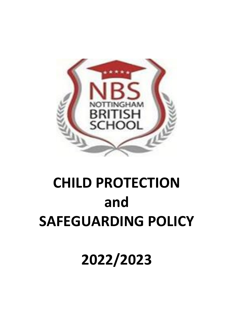

# **CHILD PROTECTION and SAFEGUARDING POLICY**

**2022/2023**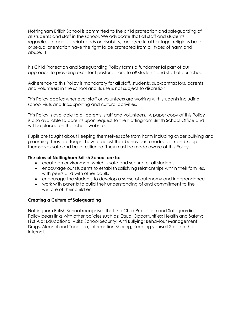Nottingham British School is committed to the child protection and safeguarding of all students and staff in the school. We advocate that all staff and students regardless of age, special needs or disability, racial/cultural heritage, religious belief or sexual orientation have the right to be protected from all types of harm and abuse. T

his Child Protection and Safeguarding Policy forms a fundamental part of our approach to providing excellent pastoral care to *all* students and staff of our school.

Adherence to this Policy is mandatory for **all** staff, students, sub-contractors, parents and volunteers in the school and its use is not subject to discretion.

This Policy applies whenever staff or volunteers are working with students including school visits and trips, sporting and cultural activities.

This Policy is available to all parents, staff and volunteers. A paper copy of this Policy is also available to parents upon request to the Nottingham British School Office and will be placed on the school website.

Pupils are taught about keeping themselves safe from harm including cyber bullying and grooming. They are taught how to adjust their behaviour to reduce risk and keep themselves safe and build resilience. They must be made aware of this Policy.

#### **The aims of Nottingham British School are to:**

- create an environment which is safe and secure for all students
- encourage our students to establish satisfying relationships within their families, with peers and with other adults
- encourage the students to develop a sense of autonomy and independence
- work with parents to build their understanding of and commitment to the welfare of their children

#### **Creating a Culture of Safeguarding**

Nottingham British School recognises that the Child Protection and Safeguarding Policy bears links with other policies such as: Equal Opportunities; Health and Safety; First Aid; Educational Visits; School Security; Anti Bullying; Behaviour Management; Drugs, Alcohol and Tobacco, Information Sharing, Keeping yourself Safe on the Internet.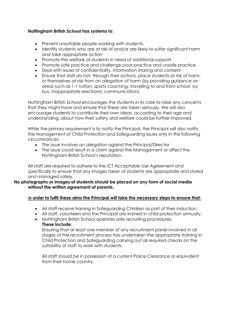# **Nottingham British School has systems to**:

- Prevent unsuitable people working with students.
- Identify students who are at risk of and/or are likely to suffer significant harm and take appropriate action
- Promote the welfare of students in need of additional support.
- Promote safe practice and challenge poor practice and unsafe practice
- Deal with issues of confidentiality, information sharing and consent
- Ensure that staff do not, through their actions, place students at risk of harm, or themselves at risk from an allegation of harm (by providing guidance on areas such as 1-1 tuition, sports coaching, travelling to and from school by bus, inappropriate electronic communication).

Nottingham British School encourages the students in its care to raise any concerns that they might have and ensure that these are taken seriously. We will also encourage students to contribute their own ideas, according to their age and understanding, about how their safety and welfare could be further improved.

While the primary requirement is to notify the Principal, the Principal will also notify the Management of Child Protection and Safeguarding issues only in the following circumstances:

- The issue involves an allegation against the Principal/Director
- The issue could result in a claim against the Management or affect the Nottingham British School's reputation.

All staff are required to adhere to the ICT Acceptable Use Agreement and specifically to ensure that any images taken of students are appropriate and stored and managed safely.

# **No photographs or images of students should be placed on any form of social media without the written agreement of parents.**

# I**n order to fulfil these aims the Principal will take the necessary steps to ensure that**:

- All staff receive training in Safeguarding Children as part of their induction.
- All staff, volunteers and the Principal are trained in child protection annually.
- Nottingham British School operates safe recruiting procedures. **These include**:

Ensuring that at least one member of any recruitment panel involved in all stages of the recruitment process has undertaken the appropriate training in Child Protection and Safeguarding carrying out all required checks on the suitability of staff to work with students.

All staff should be in possession of a current Police Clearance or equivalent from their home country.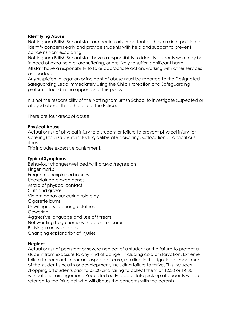### **Identifying Abuse**

Nottingham British School staff are particularly important as they are in a position to identify concerns early and provide students with help and support to prevent concerns from escalating.

Nottingham British School staff have a responsibility to identify students who may be in need of extra help or are suffering, or are likely to suffer, significant harm. All staff have a responsibility to take appropriate action, working with other services

as needed.

Any suspicion, allegation or incident of abuse must be reported to the Designated Safeguarding Lead immediately using the Child Protection and Safeguarding proforma found in the appendix of this policy.

It is not the responsibility of the Nottingham British School to investigate suspected or alleged abuse; this is the role of the Police.

There are four areas of abuse:

#### **Physical Abuse**

Actual or risk of physical injury to a student or failure to prevent physical injury (or suffering) to a student, including deliberate poisoning, suffocation and factitious illness.

This includes excessive punishment.

#### **Typical Symptoms**:

Behaviour changes/wet bed/withdrawal/regression Finger marks Frequent unexplained injuries Unexplained broken bones Afraid of physical contact Cuts and grazes Violent behaviour during role play Cigarette burns Unwillingness to change clothes Cowering Aggressive language and use of threats Not wanting to go home with parent or carer Bruising in unusual areas Changing explanation of injuries

# **Neglect**

Actual or risk of persistent or severe neglect of a student or the failure to protect a student from exposure to any kind of danger, including cold or starvation. Extreme failure to carry out important aspects of care, resulting in the significant impairment of the student's health or development, including failure to thrive. This includes dropping off students prior to 07.00 and failing to collect them at 12.30 or 14.30 without prior arrangement. Repeated early drop or late pick up of students will be referred to the Principal who will discuss the concerns with the parents.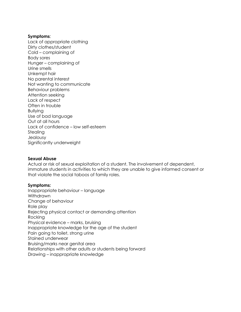#### **Symptoms**:

Lack of appropriate clothing Dirty clothes/student Cold – complaining of Body sores Hunger – complaining of Urine smells Unkempt hair No parental interest Not wanting to communicate Behaviour problems Attention seeking Lack of respect Often in trouble Bullying Use of bad language Out at all hours Lack of confidence – low self-esteem Stealing Jealousy Significantly underweight

#### **Sexual Abuse**

Actual or risk of sexual exploitation of a student. The involvement of dependent, immature students in activities to which they are unable to give informed consent or that violate the social taboos of family roles.

#### **Symptoms:**

Inappropriate behaviour – language Withdrawn Change of behaviour Role play Rejecting physical contact or demanding attention Rocking Physical evidence – marks, bruising Inappropriate knowledge for the age of the student Pain going to toilet, strong urine Stained underwear Bruising/marks near genital area Relationships with other adults or students being forward Drawing – inappropriate knowledge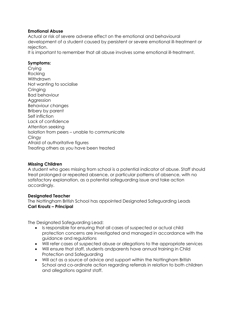#### **Emotional Abuse**

Actual or risk of severe adverse effect on the emotional and behavioural development of a student caused by persistent or severe emotional ill-treatment or rejection.

It is important to remember that all abuse involves some emotional ill-treatment.

#### **Symptoms:**

Crying Rocking Withdrawn Not wanting to socialise Cringing Bad behaviour Aggression Behaviour changes Bribery by parent Self infliction Lack of confidence Attention seeking Isolation from peers – unable to communicate **Clingy** Afraid of authoritative figures Treating others as you have been treated

#### **Missing Children**

A student who goes missing from school is a potential indicator of abuse. Staff should treat prolonged or repeated absence, or particular patterns of absence, with no satisfactory explanation, as a potential safeguarding issue and take action accordingly.

#### **Designated Teacher**

The Nottingham British School has appointed Designated Safeguarding Leads **Carl Kroutz – Principal**

The Designated Safeguarding Lead:

- Is responsible for ensuring that all cases of suspected or actual child protection concerns are investigated and managed in accordance with the guidance and regulations
- Will refer cases of suspected abuse or allegations to the appropriate services
- Will ensure that staff, students andparents have annual training in Child Protection and Safeguarding
- Will act as a source of advice and support within the Nottingham British School and co-ordinate action regarding referrals in relation to both children and allegations against staff.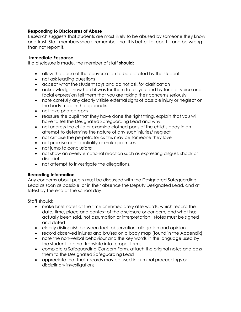#### **Responding to Disclosures of Abuse**

Research suggests that students are most likely to be abused by someone they know and trust. Staff members should remember that it is better to report it and be wrong than not report it.

#### **Immediate Response**

If a disclosure is made, the member of staff **should**:

- allow the pace of the conversation to be dictated by the student
- not ask leading questions
- accept what the student says and do not ask for clarification
- acknowledge how hard it was for them to tell you and by tone of voice and facial expression tell them that you are taking their concerns seriously
- note carefully any clearly visible external signs of possible injury or neglect on the body map in the appendix
- not take photographs
- reassure the pupil that they have done the right thing, explain that you will have to tell the Designated Safeguarding Lead and why.
- not undress the child or examine clothed parts of the child's body in an attempt to determine the nature of any such injuries/ neglect
- not criticise the perpetrator as this may be someone they love
- not promise confidentiality or make promises
- not jump to conclusions
- not show an overly emotional reaction such as expressing disgust, shock or disbelief
- not attempt to investigate the allegations.

#### **Recording Information**

Any concerns about pupils must be discussed with the Designated Safeguarding Lead as soon as possible, or in their absence the Deputy Designated Lead, and at latest by the end of the school day.

Staff should:

- make brief notes at the time or immediately afterwards, which record the date, time, place and context of the disclosure or concern, and what has actually been said, not assumption or interpretation. Notes must be signed and dated
- clearly distinguish between fact, observation, allegation and opinion
- record observed injuries and bruises on a body map (found in the Appendix)
- note the non-verbal behaviour and the key words in the language used by the student - do not translate into 'proper terms'
- complete a Safeguarding Concern Form, attach the original notes and pass them to the Designated Safeguarding Lead
- appreciate that their records may be used in criminal proceedings or disciplinary investigations.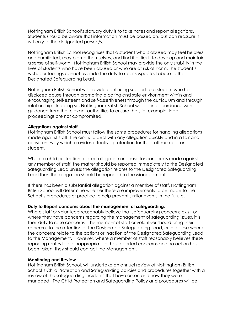Nottingham British School's statuary duty is to take notes and report allegations. Students should be aware that information must be passed on, but can reassure it will only to the designated person/s.

Nottingham British School recognises that a student who is abused may feel helpless and humiliated, may blame themselves, and find it difficult to develop and maintain a sense of self-worth. Nottingham British School may provide the only stability in the lives of students who have been abused or who are at risk of harm. The student's wishes or feelings cannot override the duty to refer suspected abuse to the Designated Safeguarding Lead.

Nottingham British School will provide continuing support to a student who has disclosed abuse through promoting a caring and safe environment within and encouraging self-esteem and self-assertiveness through the curriculum and through relationships. In doing so, Nottingham British School will act in accordance with guidance from the relevant authorities to ensure that, for example, legal proceedings are not compromised.

#### **Allegations against staff**

Nottingham British School must follow the same procedures for handling allegations made against staff. The aim is to deal with any allegation quickly and in a fair and consistent way which provides effective protection for the staff member and student.

Where a child protection related allegation or cause for concern is made against any member of staff, the matter should be reported immediately to the Designated Safeguarding Lead unless the allegation relates to the Designated Safeguarding Lead then the allegation should be reported to the Management.

If there has been a substantial allegation against a member of staff, Nottingham British School will determine whether there are improvements to be made to the School's procedures or practice to help prevent similar events in the future.

#### **Duty to Report concerns about the management of safeguarding.**

Where staff or volunteers reasonably believe that safeguarding concerns exist, or where they have concerns regarding the management of safeguarding issues, it is their duty to raise concerns. The member of staff or volunteer should bring their concerns to the attention of the Designated Safeguarding Lead, or in a case where the concerns relate to the actions or inaction of the Designated Safeguarding Lead, to the Management. However, where a member of staff reasonably believes these reporting routes to be inappropriate or has reported concerns and no action has been taken, they should contact the Management.

#### **Monitoring and Review**

Nottingham British School, will undertake an annual review of Nottingham British School's Child Protection and Safeguarding policies and procedures together with a review of the safeguarding incidents that have arisen and how they were managed. The Child Protection and Safeguarding Policy and procedures will be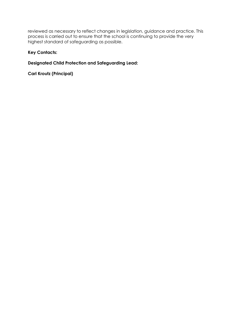reviewed as necessary to reflect changes in legislation, guidance and practice. This process is carried out to ensure that the school is continuing to provide the very highest standard of safeguarding as possible.

# **Key Contacts:**

# **Designated Child Protection and Safeguarding Lead:**

**Carl Kroutz (Principal)**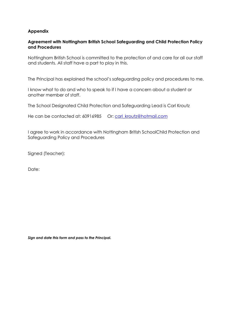#### **Appendix**

#### **Agreement with Nottingham British School Safeguarding and Child Protection Policy and Procedures**

Nottingham British School is committed to the protection of and care for all our staff and students. All staff have a part to play in this.

The Principal has explained the school's safeguarding policy and procedures to me.

I know what to do and who to speak to if I have a concern about a student or another member of staff.

The School Designated Child Protection and Safeguarding Lead is Carl Kroutz

He can be contacted at: 60916985 Or: [carl\\_kroutz@hotmail.com](mailto:carl_kroutz@hotmail.com)

I agree to work in accordance with Nottingham British SchoolChild Protection and Safeguarding Policy and Procedures

Signed (Teacher):

Date:

*Sign and date this form and pass to the Principal.*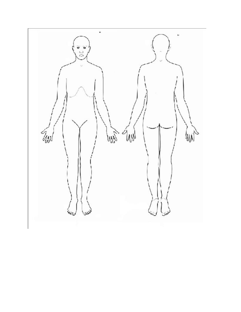